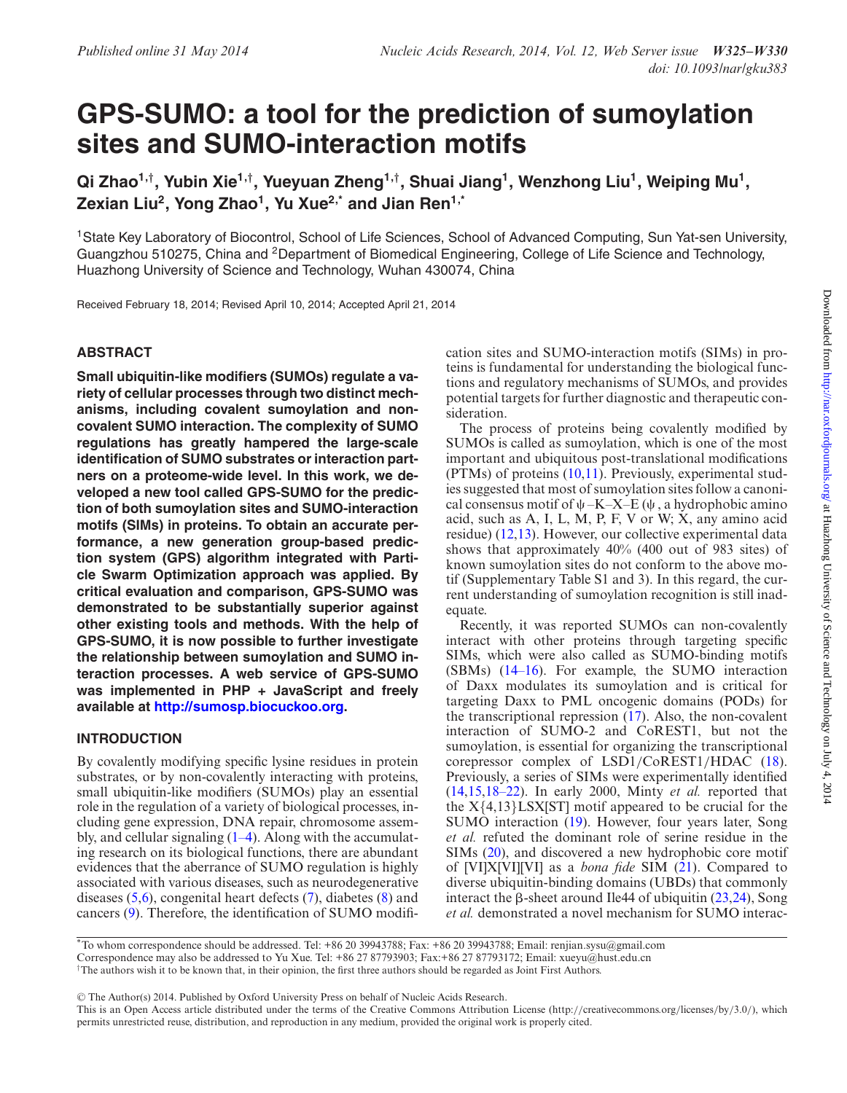# **GPS-SUMO: a tool for the prediction of sumoylation sites and SUMO-interaction motifs**

**Qi Zhao1,***†***, Yubin Xie1,***†***, Yueyuan Zheng1,***†***, Shuai Jiang1, Wenzhong Liu1, Weiping Mu1, Zexian Liu2, Yong Zhao1, Yu Xue2,\* and Jian Ren1,\***

1State Key Laboratory of Biocontrol, School of Life Sciences, School of Advanced Computing, Sun Yat-sen University, Guangzhou 510275, China and 2Department of Biomedical Engineering, College of Life Science and Technology, Huazhong University of Science and Technology, Wuhan 430074, China

Received February 18, 2014; Revised April 10, 2014; Accepted April 21, 2014

## **ABSTRACT**

**Small ubiquitin-like modifiers (SUMOs) regulate a variety of cellular processes through two distinct mechanisms, including covalent sumoylation and noncovalent SUMO interaction. The complexity of SUMO regulations has greatly hampered the large-scale identification of SUMO substrates or interaction partners on a proteome-wide level. In this work, we developed a new tool called GPS-SUMO for the prediction of both sumoylation sites and SUMO-interaction motifs (SIMs) in proteins. To obtain an accurate performance, a new generation group-based prediction system (GPS) algorithm integrated with Particle Swarm Optimization approach was applied. By critical evaluation and comparison, GPS-SUMO was demonstrated to be substantially superior against other existing tools and methods. With the help of GPS-SUMO, it is now possible to further investigate the relationship between sumoylation and SUMO interaction processes. A web service of GPS-SUMO was implemented in PHP + JavaScript and freely available at [http://sumosp.biocuckoo.org.](http://sumosp.biocuckoo.org)**

## **INTRODUCTION**

By covalently modifying specific lysine residues in protein substrates, or by non-covalently interacting with proteins, small ubiquitin-like modifiers (SUMOs) play an essential role in the regulation of a variety of biological processes, including gene expression, DNA repair, chromosome assembly, and cellular signaling [\(1–4\)](#page-4-0). Along with the accumulating research on its biological functions, there are abundant evidences that the aberrance of SUMO regulation is highly associated with various diseases, such as neurodegenerative diseases [\(5,6\)](#page-4-0), congenital heart defects [\(7\)](#page-4-0), diabetes [\(8\)](#page-4-0) and cancers [\(9\)](#page-4-0). Therefore, the identification of SUMO modification sites and SUMO-interaction motifs (SIMs) in proteins is fundamental for understanding the biological functions and regulatory mechanisms of SUMOs, and provides potential targets for further diagnostic and therapeutic consideration.

The process of proteins being covalently modified by SUMOs is called as sumoylation, which is one of the most important and ubiquitous post-translational modifications (PTMs) of proteins [\(10,11\)](#page-4-0). Previously, experimental studies suggested that most of sumoylation sites follow a canonical consensus motif of  $\psi$  –K–X–E ( $\psi$ , a hydrophobic amino acid, such as A, I, L, M, P, F, V or W; X, any amino acid residue) [\(12,13\)](#page-4-0). However, our collective experimental data shows that approximately 40% (400 out of 983 sites) of known sumoylation sites do not conform to the above motif (Supplementary Table S1 and 3). In this regard, the current understanding of sumoylation recognition is still inadequate.

Recently, it was reported SUMOs can non-covalently interact with other proteins through targeting specific SIMs, which were also called as SUMO-binding motifs (SBMs) [\(14–16\)](#page-5-0). For example, the SUMO interaction of Daxx modulates its sumoylation and is critical for targeting Daxx to PML oncogenic domains (PODs) for the transcriptional repression [\(17\)](#page-5-0). Also, the non-covalent interaction of SUMO-2 and CoREST1, but not the sumoylation, is essential for organizing the transcriptional corepressor complex of LSD1/CoREST1/HDAC [\(18\)](#page-5-0). Previously, a series of SIMs were experimentally identified [\(14,15,18–22\)](#page-5-0). In early 2000, Minty *et al.* reported that the  $X\{4,13\}$ LSX[ST] motif appeared to be crucial for the SUMO interaction [\(19\)](#page-5-0). However, four years later, Song *et al.* refuted the dominant role of serine residue in the SIMs [\(20\)](#page-5-0), and discovered a new hydrophobic core motif of [VI]X[VI][VI] as a *bona fide* SIM [\(21\)](#page-5-0). Compared to diverse ubiquitin-binding domains (UBDs) that commonly interact the  $\beta$ -sheet around Ile44 of ubiquitin [\(23,24\)](#page-5-0), Song *et al.* demonstrated a novel mechanism for SUMO interac-

\*To whom correspondence should be addressed. Tel: +86 20 39943788; Fax: +86 20 39943788; Email: renjian.sysu@gmail.com Correspondence may also be addressed to Yu Xue. Tel: +86 27 87793903; Fax:+86 27 87793172; Email: xueyu@hust.edu.cn <sup> $\dagger$ </sup>The authors wish it to be known that, in their opinion, the first three authors should be regarded as Joint First Authors.

-<sup>C</sup> The Author(s) 2014. Published by Oxford University Press on behalf of Nucleic Acids Research.

This is an Open Access article distributed under the terms of the Creative Commons Attribution License (http://creativecommons.org/licenses/by/3.0/), which permits unrestricted reuse, distribution, and reproduction in any medium, provided the original work is properly cited.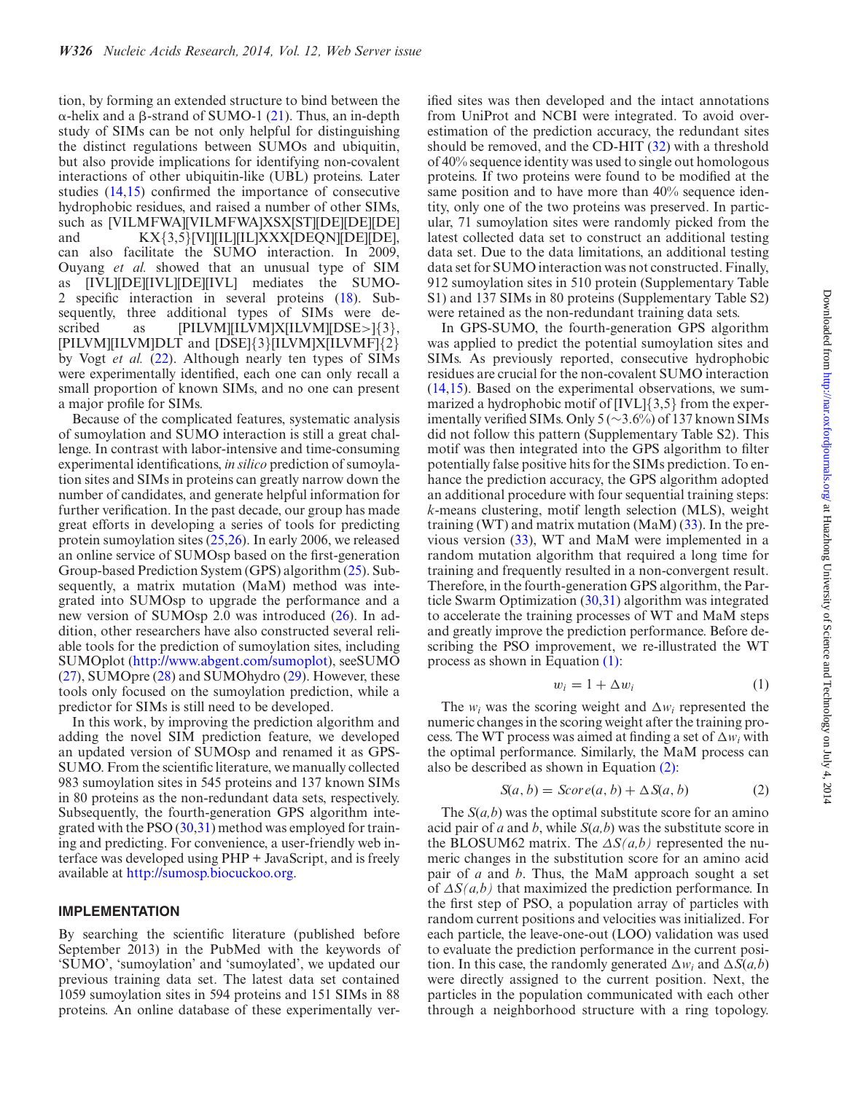tion, by forming an extended structure to bind between the  $\alpha$ -helix and a  $\beta$ -strand of SUMO-1 [\(21\)](#page-5-0). Thus, an in-depth study of SIMs can be not only helpful for distinguishing the distinct regulations between SUMOs and ubiquitin, but also provide implications for identifying non-covalent interactions of other ubiquitin-like (UBL) proteins. Later studies [\(14,15\)](#page-5-0) confirmed the importance of consecutive hydrophobic residues, and raised a number of other SIMs, such as [VILMFWA][VILMFWA]XSX[ST][DE][DE][DE] and  $\frac{KX\{3,5\}[\text{VI}][\text{IL}][\text{IL}]\{XXX[\text{DE}]\}[\text{DE}][\text{DE}],$ can also facilitate the SUMO interaction. In 2009, Ouyang *et al.* showed that an unusual type of SIM as [IVL][DE][IVL][DE][IVL] mediates the SUMO-2 specific interaction in several proteins [\(18\)](#page-5-0). Subsequently, three additional types of SIMs were described as  $[PILVM][ILVM][X][LVM][DSE > ]{3},$ [PILVM][ILVM]DLT and [DSE]{3}[ILVM]X[ILVMF]{2} by Vogt *et al.* [\(22\)](#page-5-0). Although nearly ten types of SIMs were experimentally identified, each one can only recall a small proportion of known SIMs, and no one can present a major profile for SIMs.

Because of the complicated features, systematic analysis of sumoylation and SUMO interaction is still a great challenge. In contrast with labor-intensive and time-consuming experimental identifications, *in silico* prediction of sumoylation sites and SIMs in proteins can greatly narrow down the number of candidates, and generate helpful information for further verification. In the past decade, our group has made great efforts in developing a series of tools for predicting protein sumoylation sites [\(25,26\)](#page-5-0). In early 2006, we released an online service of SUMOsp based on the first-generation Group-based Prediction System (GPS) algorithm [\(25\)](#page-5-0). Subsequently, a matrix mutation (MaM) method was integrated into SUMOsp to upgrade the performance and a new version of SUMOsp 2.0 was introduced [\(26\)](#page-5-0). In addition, other researchers have also constructed several reliable tools for the prediction of sumoylation sites, including SUMOplot [\(http://www.abgent.com/sumoplot\)](http://www.abgent.com/sumoplot), seeSUMO [\(27\)](#page-5-0), SUMOpre [\(28\)](#page-5-0) and SUMOhydro [\(29\)](#page-5-0). However, these tools only focused on the sumoylation prediction, while a predictor for SIMs is still need to be developed.

In this work, by improving the prediction algorithm and adding the novel SIM prediction feature, we developed an updated version of SUMOsp and renamed it as GPS-SUMO. From the scientific literature, we manually collected 983 sumoylation sites in 545 proteins and 137 known SIMs in 80 proteins as the non-redundant data sets, respectively. Subsequently, the fourth-generation GPS algorithm integrated with the PSO  $(30,31)$  method was employed for training and predicting. For convenience, a user-friendly web interface was developed using PHP + JavaScript, and is freely available at [http://sumosp.biocuckoo.org.](http://sumosp.biocuckoo.org)

#### **IMPLEMENTATION**

By searching the scientific literature (published before September 2013) in the PubMed with the keywords of 'SUMO', 'sumoylation' and 'sumoylated', we updated our previous training data set. The latest data set contained 1059 sumoylation sites in 594 proteins and 151 SIMs in 88 proteins. An online database of these experimentally verified sites was then developed and the intact annotations from UniProt and NCBI were integrated. To avoid overestimation of the prediction accuracy, the redundant sites should be removed, and the CD-HIT [\(32\)](#page-5-0) with a threshold of 40% sequence identity was used to single out homologous proteins. If two proteins were found to be modified at the same position and to have more than 40% sequence identity, only one of the two proteins was preserved. In particular, 71 sumoylation sites were randomly picked from the latest collected data set to construct an additional testing data set. Due to the data limitations, an additional testing data set for SUMO interaction was not constructed. Finally, 912 sumoylation sites in 510 protein (Supplementary Table S1) and 137 SIMs in 80 proteins (Supplementary Table S2) were retained as the non-redundant training data sets.

In GPS-SUMO, the fourth-generation GPS algorithm was applied to predict the potential sumoylation sites and SIMs. As previously reported, consecutive hydrophobic residues are crucial for the non-covalent SUMO interaction [\(14,15\)](#page-5-0). Based on the experimental observations, we summarized a hydrophobic motif of [IVL]{3,5} from the experimentally verified SIMs. Only 5 (∼3.6%) of 137 known SIMs did not follow this pattern (Supplementary Table S2). This motif was then integrated into the GPS algorithm to filter potentially false positive hits for the SIMs prediction. To enhance the prediction accuracy, the GPS algorithm adopted an additional procedure with four sequential training steps: *k*-means clustering, motif length selection (MLS), weight training (WT) and matrix mutation (MaM)  $(33)$ . In the previous version [\(33\)](#page-5-0), WT and MaM were implemented in a random mutation algorithm that required a long time for training and frequently resulted in a non-convergent result. Therefore, in the fourth-generation GPS algorithm, the Particle Swarm Optimization [\(30,31\)](#page-5-0) algorithm was integrated to accelerate the training processes of WT and MaM steps and greatly improve the prediction performance. Before describing the PSO improvement, we re-illustrated the WT process as shown in Equation (1):

$$
w_i = 1 + \Delta w_i \tag{1}
$$

The  $w_i$  was the scoring weight and  $\Delta w_i$  represented the numeric changes in the scoring weight after the training process. The WT process was aimed at finding a set of  $\Delta w_i$  with the optimal performance. Similarly, the MaM process can also be described as shown in Equation (2):

$$
S(a, b) = Score(a, b) + \Delta S(a, b)
$$
 (2)

The *S*(*a,b*) was the optimal substitute score for an amino acid pair of *a* and *b*, while *S*(*a,b*) was the substitute score in the BLOSUM62 matrix. The  $\Delta S(a,b)$  represented the numeric changes in the substitution score for an amino acid pair of *a* and *b*. Thus, the MaM approach sought a set of Δ*S(a,b)* that maximized the prediction performance. In the first step of PSO, a population array of particles with random current positions and velocities was initialized. For each particle, the leave-one-out (LOO) validation was used to evaluate the prediction performance in the current position. In this case, the randomly generated  $\Delta w_i$  and  $\Delta S(a,b)$ were directly assigned to the current position. Next, the particles in the population communicated with each other through a neighborhood structure with a ring topology.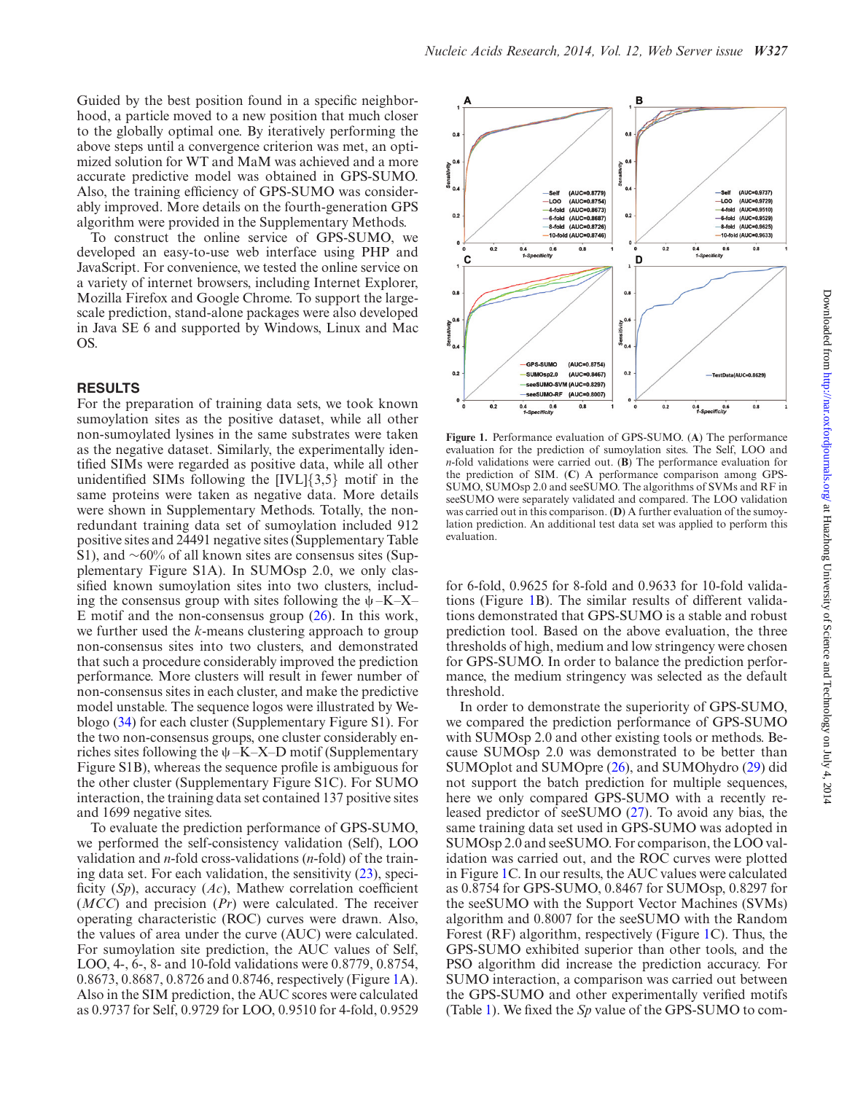<span id="page-2-0"></span>Guided by the best position found in a specific neighborhood, a particle moved to a new position that much closer to the globally optimal one. By iteratively performing the above steps until a convergence criterion was met, an optimized solution for WT and MaM was achieved and a more accurate predictive model was obtained in GPS-SUMO. Also, the training efficiency of GPS-SUMO was considerably improved. More details on the fourth-generation GPS algorithm were provided in the Supplementary Methods.

To construct the online service of GPS-SUMO, we developed an easy-to-use web interface using PHP and JavaScript. For convenience, we tested the online service on a variety of internet browsers, including Internet Explorer, Mozilla Firefox and Google Chrome. To support the largescale prediction, stand-alone packages were also developed in Java SE 6 and supported by Windows, Linux and Mac OS.

#### **RESULTS**

For the preparation of training data sets, we took known sumoylation sites as the positive dataset, while all other non-sumoylated lysines in the same substrates were taken as the negative dataset. Similarly, the experimentally identified SIMs were regarded as positive data, while all other unidentified SIMs following the [IVL]{3,5} motif in the same proteins were taken as negative data. More details were shown in Supplementary Methods. Totally, the nonredundant training data set of sumoylation included 912 positive sites and 24491 negative sites (Supplementary Table S1), and ∼60% of all known sites are consensus sites (Supplementary Figure S1A). In SUMOsp 2.0, we only classified known sumoylation sites into two clusters, including the consensus group with sites following the  $\psi$ -K-X-E motif and the non-consensus group [\(26\)](#page-5-0). In this work, we further used the *k*-means clustering approach to group non-consensus sites into two clusters, and demonstrated that such a procedure considerably improved the prediction performance. More clusters will result in fewer number of non-consensus sites in each cluster, and make the predictive model unstable. The sequence logos were illustrated by Weblogo [\(34\)](#page-5-0) for each cluster (Supplementary Figure S1). For the two non-consensus groups, one cluster considerably enriches sites following the  $\psi$ -K-X-D motif (Supplementary Figure S1B), whereas the sequence profile is ambiguous for the other cluster (Supplementary Figure S1C). For SUMO interaction, the training data set contained 137 positive sites and 1699 negative sites.

To evaluate the prediction performance of GPS-SUMO, we performed the self-consistency validation (Self), LOO validation and *n*-fold cross-validations (*n*-fold) of the training data set. For each validation, the sensitivity [\(23\)](#page-5-0), specificity (*Sp*), accuracy (*Ac*), Mathew correlation coefficient (*MCC*) and precision (*Pr*) were calculated. The receiver operating characteristic (ROC) curves were drawn. Also, the values of area under the curve (AUC) were calculated. For sumoylation site prediction, the AUC values of Self, LOO, 4-, 6-, 8- and 10-fold validations were 0.8779, 0.8754, 0.8673, 0.8687, 0.8726 and 0.8746, respectively (Figure 1A). Also in the SIM prediction, the AUC scores were calculated as 0.9737 for Self, 0.9729 for LOO, 0.9510 for 4-fold, 0.9529



**Figure 1.** Performance evaluation of GPS-SUMO. (**A**) The performance evaluation for the prediction of sumoylation sites. The Self, LOO and *n*-fold validations were carried out. (**B**) The performance evaluation for the prediction of SIM. (**C**) A performance comparison among GPS-SUMO, SUMOsp 2.0 and seeSUMO. The algorithms of SVMs and RF in seeSUMO were separately validated and compared. The LOO validation was carried out in this comparison. (**D**) A further evaluation of the sumoylation prediction. An additional test data set was applied to perform this evaluation.

for 6-fold, 0.9625 for 8-fold and 0.9633 for 10-fold validations (Figure 1B). The similar results of different validations demonstrated that GPS-SUMO is a stable and robust prediction tool. Based on the above evaluation, the three thresholds of high, medium and low stringency were chosen for GPS-SUMO. In order to balance the prediction performance, the medium stringency was selected as the default threshold.

In order to demonstrate the superiority of GPS-SUMO, we compared the prediction performance of GPS-SUMO with SUMOsp 2.0 and other existing tools or methods. Because SUMOsp 2.0 was demonstrated to be better than SUMOplot and SUMOpre [\(26\)](#page-5-0), and SUMOhydro [\(29\)](#page-5-0) did not support the batch prediction for multiple sequences, here we only compared GPS-SUMO with a recently released predictor of seeSUMO [\(27\)](#page-5-0). To avoid any bias, the same training data set used in GPS-SUMO was adopted in SUMOsp 2.0 and seeSUMO. For comparison, the LOO validation was carried out, and the ROC curves were plotted in Figure 1C. In our results, the AUC values were calculated as 0.8754 for GPS-SUMO, 0.8467 for SUMOsp, 0.8297 for the seeSUMO with the Support Vector Machines (SVMs) algorithm and 0.8007 for the seeSUMO with the Random Forest (RF) algorithm, respectively (Figure 1C). Thus, the GPS-SUMO exhibited superior than other tools, and the PSO algorithm did increase the prediction accuracy. For SUMO interaction, a comparison was carried out between the GPS-SUMO and other experimentally verified motifs (Table [1\)](#page-3-0). We fixed the *Sp* value of the GPS-SUMO to com-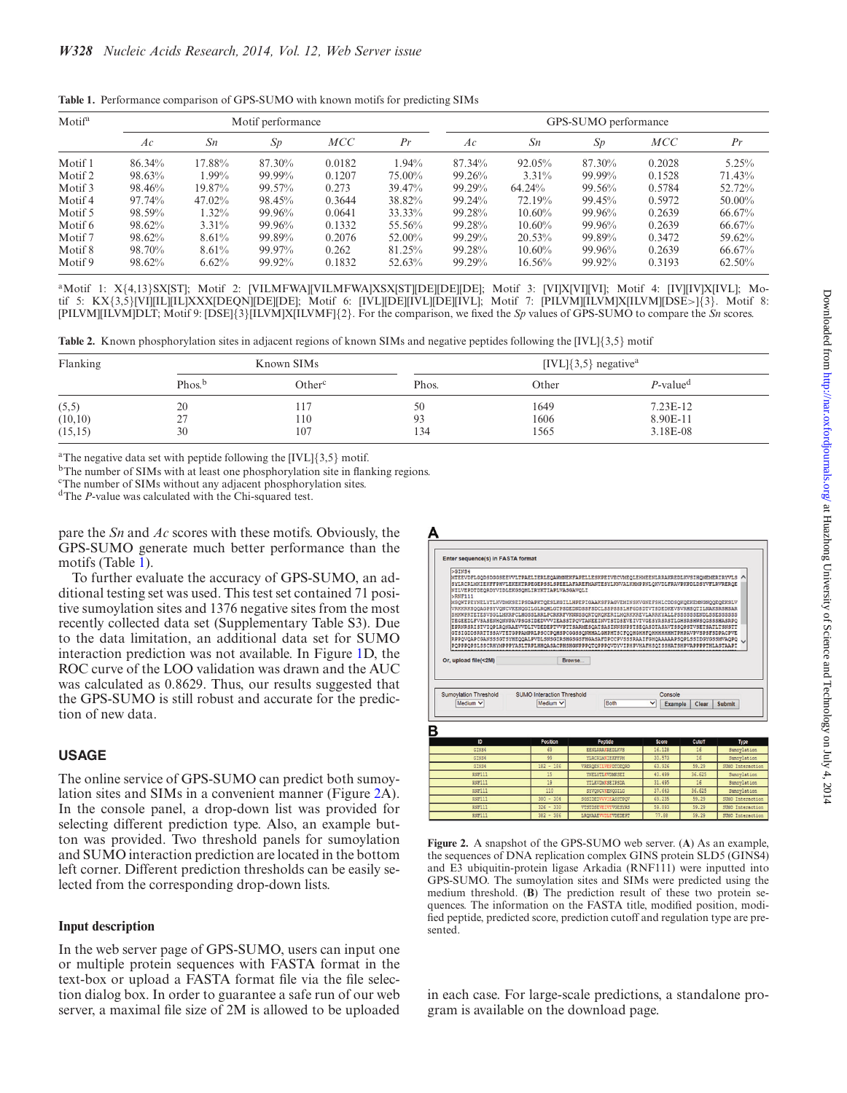<span id="page-3-0"></span>

|  | <b>Table 1.</b> Performance comparison of GPS-SUMO with known motifs for predicting SIMs |  |  |  |  |
|--|------------------------------------------------------------------------------------------|--|--|--|--|
|--|------------------------------------------------------------------------------------------|--|--|--|--|

| Motif <sup>a</sup> | Motif performance |          |        |        | GPS-SUMO performance |        |           |        |        |        |
|--------------------|-------------------|----------|--------|--------|----------------------|--------|-----------|--------|--------|--------|
|                    | Ac                | Sn       | Sp     | MCC    | Pr                   | Ac     | Sn        | Sp     | MCC    | Pr     |
| Motif 1            | 86.34%            | 17.88%   | 87.30% | 0.0182 | $1.94\%$             | 87.34% | 92.05%    | 87.30% | 0.2028 | 5.25%  |
| Motif 2            | 98.63%            | $1.99\%$ | 99.99% | 0.1207 | 75.00%               | 99.26% | $3.31\%$  | 99.99% | 0.1528 | 71.43% |
| Motif 3            | 98.46%            | 19.87%   | 99.57% | 0.273  | 39.47%               | 99.29% | 64.24%    | 99.56% | 0.5784 | 52.72% |
| Motif 4            | 97.74%            | 47.02%   | 98.45% | 0.3644 | 38.82%               | 99.24% | 72.19%    | 99.45% | 0.5972 | 50.00% |
| Motif 5            | 98.59%            | $1.32\%$ | 99.96% | 0.0641 | 33.33%               | 99.28% | $10.60\%$ | 99.96% | 0.2639 | 66.67% |
| Motif 6            | 98.62%            | $3.31\%$ | 99.96% | 0.1332 | 55.56%               | 99.28% | $10.60\%$ | 99.96% | 0.2639 | 66.67% |
| Motif 7            | 98.62%            | 8.61%    | 99.89% | 0.2076 | 52.00%               | 99.29% | $20.53\%$ | 99.89% | 0.3472 | 59.62% |
| Motif 8            | 98.70%            | 8.61%    | 99.97% | 0.262  | 81.25%               | 99.28% | $10.60\%$ | 99.96% | 0.2639 | 66.67% |
| Motif 9            | 98.62%            | 6.62%    | 99.92% | 0.1832 | 52.63%               | 99.29% | $16.56\%$ | 99.92% | 0.3193 | 62.50% |

aMotif 1: X{4,13}SXIST]; Motif 2: [VILMFWA][VILMFWA]XSXIST][DE][DE]; Motif 3: [VI]X[VI][VI]; Motif 4: [IV][IV]X[IVL]; Motif 5: KX{3,5}[VI][IL][IL]XXX[DEQN][DE][DE]; Motif 6: [IVL][DE][IVL][DE][IVL]; Motif 7: [PILVM][ILVM][ILVM][DSE>[{3}. Motif 8: [PILVM][ILVM]DLT; Motif 9: [DSE]{3}[ILVM]X[ILVMF]{2}. For the comparison, we fixed the *Sp* values of GPS-SUMO to compare the *Sn* scores.

**Table 2.** Known phosphorylation sites in adjacent regions of known SIMs and negative peptides following the [IVL]{3,5} motif

| Flanking |                       | Known SIMs         |       | [IVL] $\{3,5\}$ negative <sup>a</sup> |                         |  |  |
|----------|-----------------------|--------------------|-------|---------------------------------------|-------------------------|--|--|
|          | $P$ hos. <sup>b</sup> | Other <sup>c</sup> | Phos. | Other                                 | $P$ -value <sup>d</sup> |  |  |
| (5,5)    | 20                    | 117                | 50    | 1649                                  | $7.23E-12$              |  |  |
| (10,10)  |                       | 110                | 93    | 1606                                  | 8.90E-11                |  |  |
| (15,15)  | 30                    | 107                | 134   | 1565                                  | 3.18E-08                |  |  |

<sup>a</sup>The negative data set with peptide following the [IVL] $\{3,5\}$  motif.

bThe number of SIMs with at least one phosphorylation site in flanking regions.

cThe number of SIMs without any adjacent phosphorylation sites.

dThe *P*-value was calculated with the Chi-squared test.

pare the *Sn* and *Ac* scores with these motifs. Obviously, the GPS-SUMO generate much better performance than the motifs (Table 1).

To further evaluate the accuracy of GPS-SUMO, an additional testing set was used. This test set contained 71 positive sumoylation sites and 1376 negative sites from the most recently collected data set (Supplementary Table S3). Due to the data limitation, an additional data set for SUMO interaction prediction was not available. In Figure [1D](#page-2-0), the ROC curve of the LOO validation was drawn and the AUC was calculated as 0.8629. Thus, our results suggested that the GPS-SUMO is still robust and accurate for the prediction of new data.

# **USAGE**

The online service of GPS-SUMO can predict both sumoylation sites and SIMs in a convenient manner (Figure 2A). In the console panel, a drop-down list was provided for selecting different prediction type. Also, an example button was provided. Two threshold panels for sumoylation and SUMO interaction prediction are located in the bottom left corner. Different prediction thresholds can be easily selected from the corresponding drop-down lists.

#### **Input description**

In the web server page of GPS-SUMO, users can input one or multiple protein sequences with FASTA format in the text-box or upload a FASTA format file via the file selection dialog box. In order to guarantee a safe run of our web server, a maximal file size of 2M is allowed to be uploaded



**Figure 2.** A snapshot of the GPS-SUMO web server. (**A**) As an example, the sequences of DNA replication complex GINS protein SLD5 (GINS4) and E3 ubiquitin-protein ligase Arkadia (RNF111) were inputted into GPS-SUMO. The sumoylation sites and SIMs were predicted using the medium threshold. (**B**) The prediction result of these two protein sequences. The information on the FASTA title, modified position, modified peptide, predicted score, prediction cutoff and regulation type are presented.

in each case. For large-scale predictions, a standalone program is available on the download page.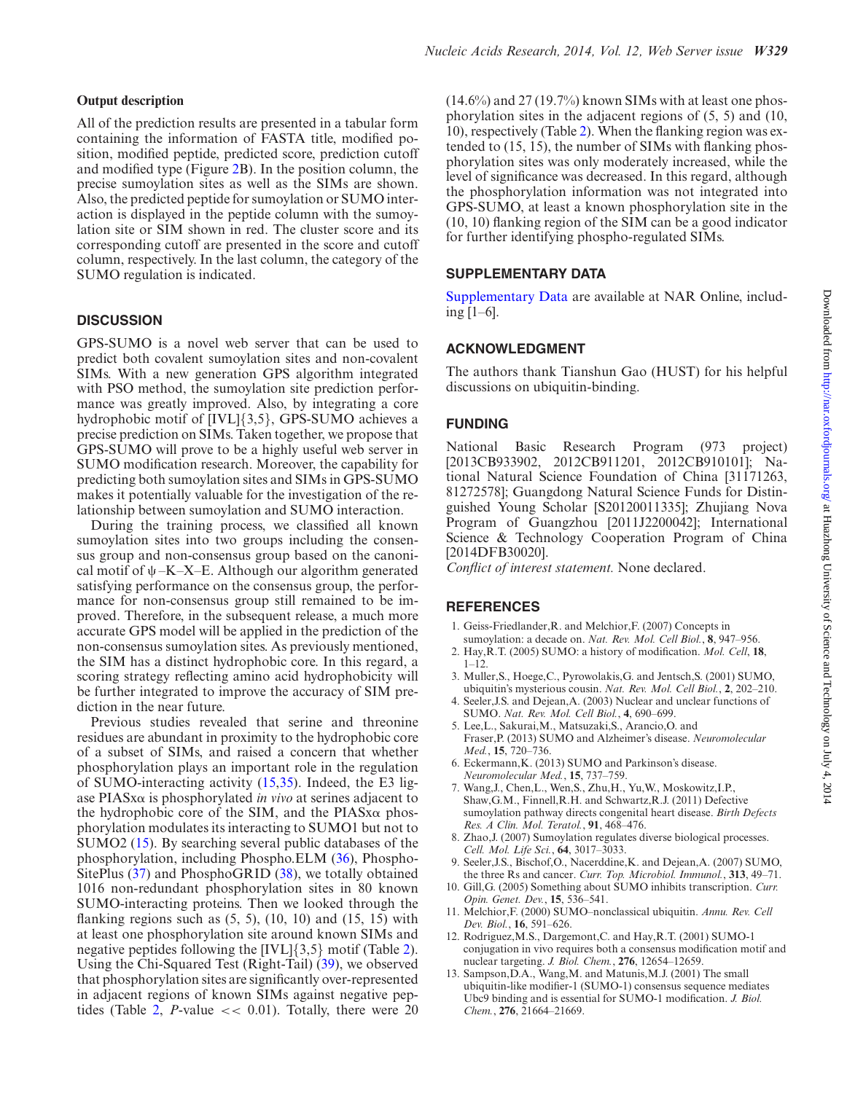<span id="page-4-0"></span>All of the prediction results are presented in a tabular form containing the information of FASTA title, modified position, modified peptide, predicted score, prediction cutoff and modified type (Figure [2B](#page-3-0)). In the position column, the precise sumoylation sites as well as the SIMs are shown. Also, the predicted peptide for sumoylation or SUMO interaction is displayed in the peptide column with the sumoylation site or SIM shown in red. The cluster score and its corresponding cutoff are presented in the score and cutoff column, respectively. In the last column, the category of the SUMO regulation is indicated.

#### **DISCUSSION**

GPS-SUMO is a novel web server that can be used to predict both covalent sumoylation sites and non-covalent SIMs. With a new generation GPS algorithm integrated with PSO method, the sumoylation site prediction performance was greatly improved. Also, by integrating a core hydrophobic motif of [IVL]{3,5}, GPS-SUMO achieves a precise prediction on SIMs. Taken together, we propose that GPS-SUMO will prove to be a highly useful web server in SUMO modification research. Moreover, the capability for predicting both sumoylation sites and SIMs in GPS-SUMO makes it potentially valuable for the investigation of the relationship between sumoylation and SUMO interaction.

During the training process, we classified all known sumoylation sites into two groups including the consensus group and non-consensus group based on the canonical motif of  $\psi$  –K–X–E. Although our algorithm generated satisfying performance on the consensus group, the performance for non-consensus group still remained to be improved. Therefore, in the subsequent release, a much more accurate GPS model will be applied in the prediction of the non-consensus sumoylation sites. As previously mentioned, the SIM has a distinct hydrophobic core. In this regard, a scoring strategy reflecting amino acid hydrophobicity will be further integrated to improve the accuracy of SIM prediction in the near future.

Previous studies revealed that serine and threonine residues are abundant in proximity to the hydrophobic core of a subset of SIMs, and raised a concern that whether phosphorylation plays an important role in the regulation of SUMO-interacting activity [\(15,35\)](#page-5-0). Indeed, the E3 ligase  $PIASx\alpha$  is phosphorylated *in vivo* at serines adjacent to the hydrophobic core of the SIM, and the PIAS $x\alpha$  phosphorylation modulates its interacting to SUMO1 but not to SUMO2 [\(15\)](#page-5-0). By searching several public databases of the phosphorylation, including Phospho.ELM [\(36\)](#page-5-0), Phospho-SitePlus [\(37\)](#page-5-0) and PhosphoGRID [\(38\)](#page-5-0), we totally obtained 1016 non-redundant phosphorylation sites in 80 known SUMO-interacting proteins. Then we looked through the flanking regions such as  $(5, 5)$ ,  $(10, 10)$  and  $(15, 15)$  with at least one phosphorylation site around known SIMs and negative peptides following the [IVL]{3,5} motif (Table [2\)](#page-3-0). Using the Chi-Squared Test (Right-Tail) [\(39\)](#page-5-0), we observed that phosphorylation sites are significantly over-represented in adjacent regions of known SIMs against negative pep-tides (Table [2,](#page-3-0) *P*-value  $<< 0.01$ ). Totally, there were 20

 $(14.6\%)$  and  $27(19.7\%)$  known SIMs with at least one phosphorylation sites in the adjacent regions of (5, 5) and (10, 10), respectively (Table [2\)](#page-3-0). When the flanking region was extended to (15, 15), the number of SIMs with flanking phosphorylation sites was only moderately increased, while the level of significance was decreased. In this regard, although the phosphorylation information was not integrated into GPS-SUMO, at least a known phosphorylation site in the (10, 10) flanking region of the SIM can be a good indicator for further identifying phospho-regulated SIMs.

#### **SUPPLEMENTARY DATA**

[Supplementary Data](http://nar.oxfordjournals.org/lookup/suppl/doi:10.1093/nar/gku383/-/DC1) are available at NAR Online, including  $[1-6]$ .

## **ACKNOWLEDGMENT**

The authors thank Tianshun Gao (HUST) for his helpful discussions on ubiquitin-binding.

## **FUNDING**

National Basic Research Program (973 project) [2013CB933902, 2012CB911201, 2012CB910101]; National Natural Science Foundation of China [31171263, 81272578]; Guangdong Natural Science Funds for Distinguished Young Scholar [S20120011335]; Zhujiang Nova Program of Guangzhou [2011J2200042]; International Science & Technology Cooperation Program of China [2014DFB30020].

*Conflict of interest statement.* None declared.

#### **REFERENCES**

- 1. Geiss-Friedlander,R. and Melchior,F. (2007) Concepts in
- sumoylation: a decade on. *Nat. Rev. Mol. Cell Biol.*, **8**, 947–956. 2. Hay,R.T. (2005) SUMO: a history of modification. *Mol. Cell*, **18**,  $1 - 12$
- 3. Muller,S., Hoege,C., Pyrowolakis,G. and Jentsch,S. (2001) SUMO, ubiquitin's mysterious cousin. *Nat. Rev. Mol. Cell Biol.*, **2**, 202–210.
- 4. Seeler,J.S. and Dejean,A. (2003) Nuclear and unclear functions of SUMO. *Nat. Rev. Mol. Cell Biol.*, **4**, 690–699.
- 5. Lee,L., Sakurai,M., Matsuzaki,S., Arancio,O. and Fraser,P. (2013) SUMO and Alzheimer's disease. *Neuromolecular Med.*, **15**, 720–736.
- 6. Eckermann,K. (2013) SUMO and Parkinson's disease. *Neuromolecular Med.*, **15**, 737–759.
- 7. Wang,J., Chen,L., Wen,S., Zhu,H., Yu,W., Moskowitz,I.P., Shaw,G.M., Finnell,R.H. and Schwartz,R.J. (2011) Defective sumoylation pathway directs congenital heart disease. *Birth Defects Res. A Clin. Mol. Teratol.*, **91**, 468–476.
- 8. Zhao,J. (2007) Sumoylation regulates diverse biological processes. *Cell. Mol. Life Sci.*, **64**, 3017–3033.
- 9. Seeler,J.S., Bischof,O., Nacerddine,K. and Dejean,A. (2007) SUMO, the three Rs and cancer. *Curr. Top. Microbiol. Immunol.*, **313**, 49–71.
- 10. Gill,G. (2005) Something about SUMO inhibits transcription. *Curr. Opin. Genet. Dev.*, **15**, 536–541.
- 11. Melchior,F. (2000) SUMO–nonclassical ubiquitin. *Annu. Rev. Cell Dev. Biol.*, **16**, 591–626.
- 12. Rodriguez,M.S., Dargemont,C. and Hay,R.T. (2001) SUMO-1 conjugation in vivo requires both a consensus modification motif and nuclear targeting. *J. Biol. Chem.*, **276**, 12654–12659.
- 13. Sampson,D.A., Wang,M. and Matunis,M.J. (2001) The small ubiquitin-like modifier-1 (SUMO-1) consensus sequence mediates Ubc9 binding and is essential for SUMO-1 modification. *J. Biol. Chem.*, **276**, 21664–21669.